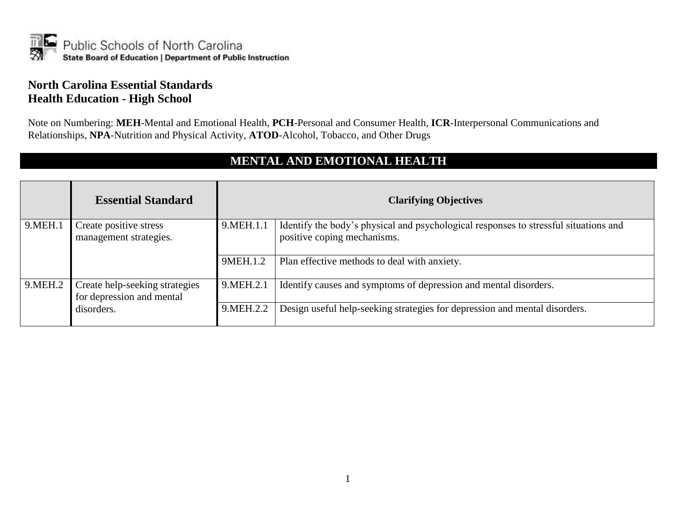

#### **North Carolina Essential Standards Health Education - High School**

Note on Numbering: **MEH**-Mental and Emotional Health, **PCH**-Personal and Consumer Health, **ICR**-Interpersonal Communications and Relationships, **NPA**-Nutrition and Physical Activity, **ATOD**-Alcohol, Tobacco, and Other Drugs

#### **MENTAL AND EMOTIONAL HEALTH**

|           | <b>Essential Standard</b>                                   |             | <b>Clarifying Objectives</b>                                                                                        |
|-----------|-------------------------------------------------------------|-------------|---------------------------------------------------------------------------------------------------------------------|
| 9. MEH. 1 | Create positive stress<br>management strategies.            | 9. MEH. 1.1 | Identify the body's physical and psychological responses to stressful situations and<br>positive coping mechanisms. |
|           |                                                             | 9MEH.1.2    | Plan effective methods to deal with anxiety.                                                                        |
| 9.MEH.2   | Create help-seeking strategies<br>for depression and mental | 9.MEH.2.1   | Identify causes and symptoms of depression and mental disorders.                                                    |
|           | disorders.                                                  | 9. MEH. 2.2 | Design useful help-seeking strategies for depression and mental disorders.                                          |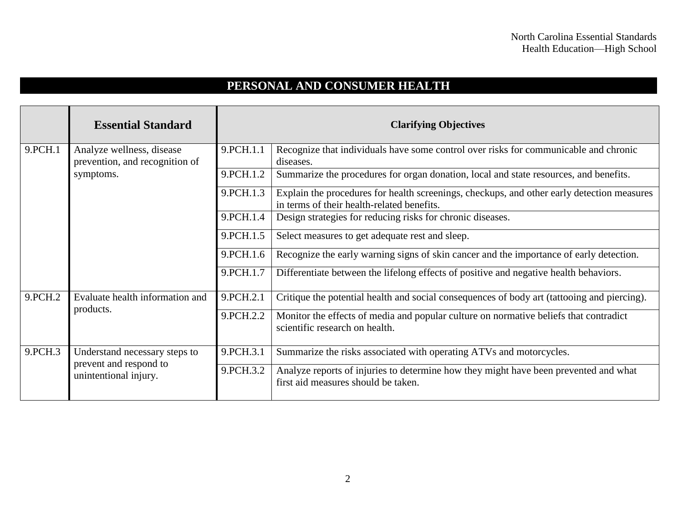## **PERSONAL AND CONSUMER HEALTH**

|         | <b>Essential Standard</b>                                                        |             | <b>Clarifying Objectives</b>                                                                                                             |
|---------|----------------------------------------------------------------------------------|-------------|------------------------------------------------------------------------------------------------------------------------------------------|
| 9.PCH.1 | Analyze wellness, disease<br>prevention, and recognition of                      | 9.PCH.1.1   | Recognize that individuals have some control over risks for communicable and chronic<br>diseases.                                        |
|         | symptoms.                                                                        | 9. PCH. 1.2 | Summarize the procedures for organ donation, local and state resources, and benefits.                                                    |
|         |                                                                                  | 9. PCH. 1.3 | Explain the procedures for health screenings, checkups, and other early detection measures<br>in terms of their health-related benefits. |
|         |                                                                                  | 9.PCH.1.4   | Design strategies for reducing risks for chronic diseases.                                                                               |
|         |                                                                                  | 9. PCH. 1.5 | Select measures to get adequate rest and sleep.                                                                                          |
|         |                                                                                  | 9.PCH.1.6   | Recognize the early warning signs of skin cancer and the importance of early detection.                                                  |
|         |                                                                                  | 9.PCH.1.7   | Differentiate between the lifelong effects of positive and negative health behaviors.                                                    |
| 9.PCH.2 | Evaluate health information and<br>products.                                     | 9.PCH.2.1   | Critique the potential health and social consequences of body art (tattooing and piercing).                                              |
|         |                                                                                  | 9.PCH.2.2   | Monitor the effects of media and popular culture on normative beliefs that contradict<br>scientific research on health.                  |
| 9.PCH.3 | Understand necessary steps to<br>prevent and respond to<br>unintentional injury. | 9.PCH.3.1   | Summarize the risks associated with operating ATVs and motorcycles.                                                                      |
|         |                                                                                  | 9. PCH. 3.2 | Analyze reports of injuries to determine how they might have been prevented and what<br>first aid measures should be taken.              |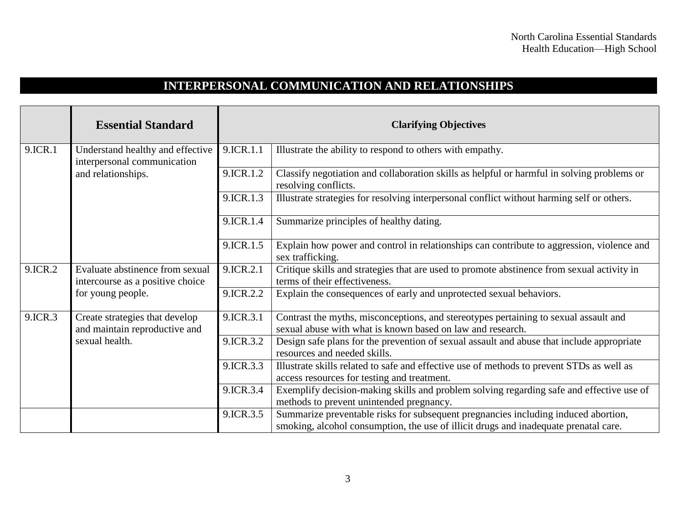## **INTERPERSONAL COMMUNICATION AND RELATIONSHIPS**

|         | <b>Essential Standard</b>                                                                |           | <b>Clarifying Objectives</b>                                                                                                                                               |
|---------|------------------------------------------------------------------------------------------|-----------|----------------------------------------------------------------------------------------------------------------------------------------------------------------------------|
| 9.ICR.1 | Understand healthy and effective<br>interpersonal communication<br>and relationships.    | 9.ICR.1.1 | Illustrate the ability to respond to others with empathy.                                                                                                                  |
|         |                                                                                          | 9.ICR.1.2 | Classify negotiation and collaboration skills as helpful or harmful in solving problems or<br>resolving conflicts.                                                         |
|         |                                                                                          | 9.ICR.1.3 | Illustrate strategies for resolving interpersonal conflict without harming self or others.                                                                                 |
|         |                                                                                          | 9.ICR.1.4 | Summarize principles of healthy dating.                                                                                                                                    |
|         |                                                                                          | 9.ICR.1.5 | Explain how power and control in relationships can contribute to aggression, violence and<br>sex trafficking.                                                              |
| 9.ICR.2 | Evaluate abstinence from sexual<br>intercourse as a positive choice<br>for young people. | 9.ICR.2.1 | Critique skills and strategies that are used to promote abstinence from sexual activity in<br>terms of their effectiveness.                                                |
|         |                                                                                          | 9.ICR.2.2 | Explain the consequences of early and unprotected sexual behaviors.                                                                                                        |
| 9.ICR.3 | Create strategies that develop<br>and maintain reproductive and<br>sexual health.        | 9.ICR.3.1 | Contrast the myths, misconceptions, and stereotypes pertaining to sexual assault and<br>sexual abuse with what is known based on law and research.                         |
|         |                                                                                          | 9.ICR.3.2 | Design safe plans for the prevention of sexual assault and abuse that include appropriate<br>resources and needed skills.                                                  |
|         |                                                                                          | 9.ICR.3.3 | Illustrate skills related to safe and effective use of methods to prevent STDs as well as<br>access resources for testing and treatment.                                   |
|         |                                                                                          | 9.ICR.3.4 | Exemplify decision-making skills and problem solving regarding safe and effective use of<br>methods to prevent unintended pregnancy.                                       |
|         |                                                                                          | 9.ICR.3.5 | Summarize preventable risks for subsequent pregnancies including induced abortion,<br>smoking, alcohol consumption, the use of illicit drugs and inadequate prenatal care. |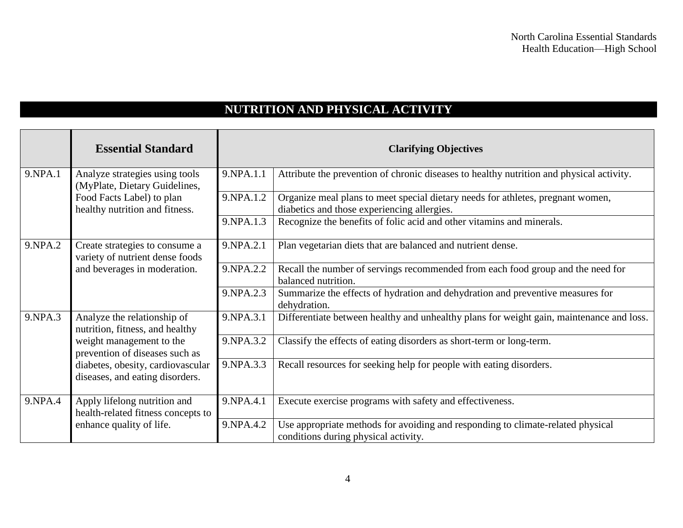## **NUTRITION AND PHYSICAL ACTIVITY**

|         | <b>Essential Standard</b>                                                                         |             | <b>Clarifying Objectives</b>                                                                                                   |
|---------|---------------------------------------------------------------------------------------------------|-------------|--------------------------------------------------------------------------------------------------------------------------------|
| 9.NPA.1 | Analyze strategies using tools<br>(MyPlate, Dietary Guidelines,                                   | 9.NPA.1.1   | Attribute the prevention of chronic diseases to healthy nutrition and physical activity.                                       |
|         | Food Facts Label) to plan<br>healthy nutrition and fitness.                                       | 9.NPA.1.2   | Organize meal plans to meet special dietary needs for athletes, pregnant women,<br>diabetics and those experiencing allergies. |
|         |                                                                                                   | 9.NPA.1.3   | Recognize the benefits of folic acid and other vitamins and minerals.                                                          |
| 9.NPA.2 | Create strategies to consume a<br>variety of nutrient dense foods<br>and beverages in moderation. | 9.NPA.2.1   | Plan vegetarian diets that are balanced and nutrient dense.                                                                    |
|         |                                                                                                   | 9.NPA.2.2   | Recall the number of servings recommended from each food group and the need for<br>balanced nutrition.                         |
|         |                                                                                                   | 9.NPA.2.3   | Summarize the effects of hydration and dehydration and preventive measures for<br>dehydration.                                 |
| 9.NPA.3 | Analyze the relationship of<br>nutrition, fitness, and healthy                                    | 9.NPA.3.1   | Differentiate between healthy and unhealthy plans for weight gain, maintenance and loss.                                       |
|         | weight management to the<br>prevention of diseases such as                                        | 9. NPA. 3.2 | Classify the effects of eating disorders as short-term or long-term.                                                           |
|         | diabetes, obesity, cardiovascular<br>diseases, and eating disorders.                              | 9.NPA.3.3   | Recall resources for seeking help for people with eating disorders.                                                            |
| 9.NPA.4 | Apply lifelong nutrition and<br>health-related fitness concepts to                                | 9.NPA.4.1   | Execute exercise programs with safety and effectiveness.                                                                       |
|         | enhance quality of life.                                                                          | 9.NPA.4.2   | Use appropriate methods for avoiding and responding to climate-related physical<br>conditions during physical activity.        |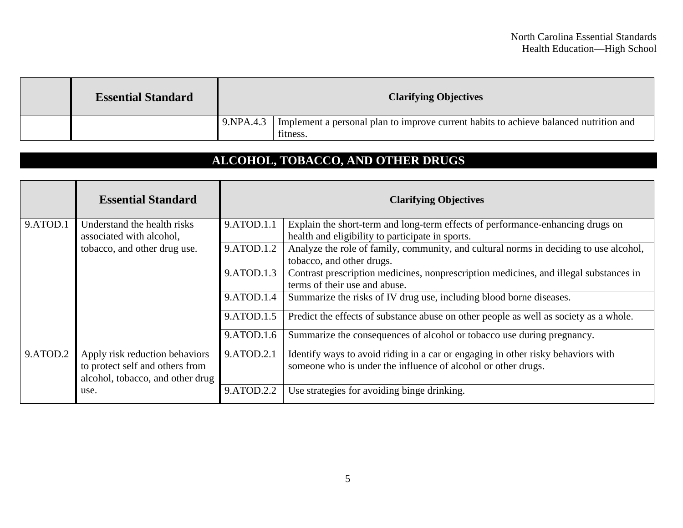| <b>Essential Standard</b> | <b>Clarifying Objectives</b> |                                                                                                   |
|---------------------------|------------------------------|---------------------------------------------------------------------------------------------------|
|                           | 9. NPA.4.3                   | Implement a personal plan to improve current habits to achieve balanced nutrition and<br>fitness. |

# **ALCOHOL, TOBACCO, AND OTHER DRUGS**

|          | <b>Essential Standard</b>                                                                             |            | <b>Clarifying Objectives</b>                                                                                                                      |
|----------|-------------------------------------------------------------------------------------------------------|------------|---------------------------------------------------------------------------------------------------------------------------------------------------|
| 9.ATOD.1 | Understand the health risks                                                                           | 9.ATOD.1.1 | Explain the short-term and long-term effects of performance-enhancing drugs on                                                                    |
|          | associated with alcohol,                                                                              |            | health and eligibility to participate in sports.                                                                                                  |
|          | tobacco, and other drug use.                                                                          | 9.ATOD.1.2 | Analyze the role of family, community, and cultural norms in deciding to use alcohol,                                                             |
|          |                                                                                                       |            | tobacco, and other drugs.                                                                                                                         |
|          |                                                                                                       | 9.ATOD.1.3 | Contrast prescription medicines, nonprescription medicines, and illegal substances in                                                             |
|          |                                                                                                       |            | terms of their use and abuse.                                                                                                                     |
|          |                                                                                                       | 9.ATOD.1.4 | Summarize the risks of IV drug use, including blood borne diseases.                                                                               |
|          |                                                                                                       | 9.ATOD.1.5 | Predict the effects of substance abuse on other people as well as society as a whole.                                                             |
|          |                                                                                                       | 9.ATOD.1.6 | Summarize the consequences of alcohol or tobacco use during pregnancy.                                                                            |
| 9.ATOD.2 | Apply risk reduction behaviors<br>to protect self and others from<br>alcohol, tobacco, and other drug | 9.ATOD.2.1 | Identify ways to avoid riding in a car or engaging in other risky behaviors with<br>someone who is under the influence of alcohol or other drugs. |
|          | use.                                                                                                  | 9.ATOD.2.2 | Use strategies for avoiding binge drinking.                                                                                                       |